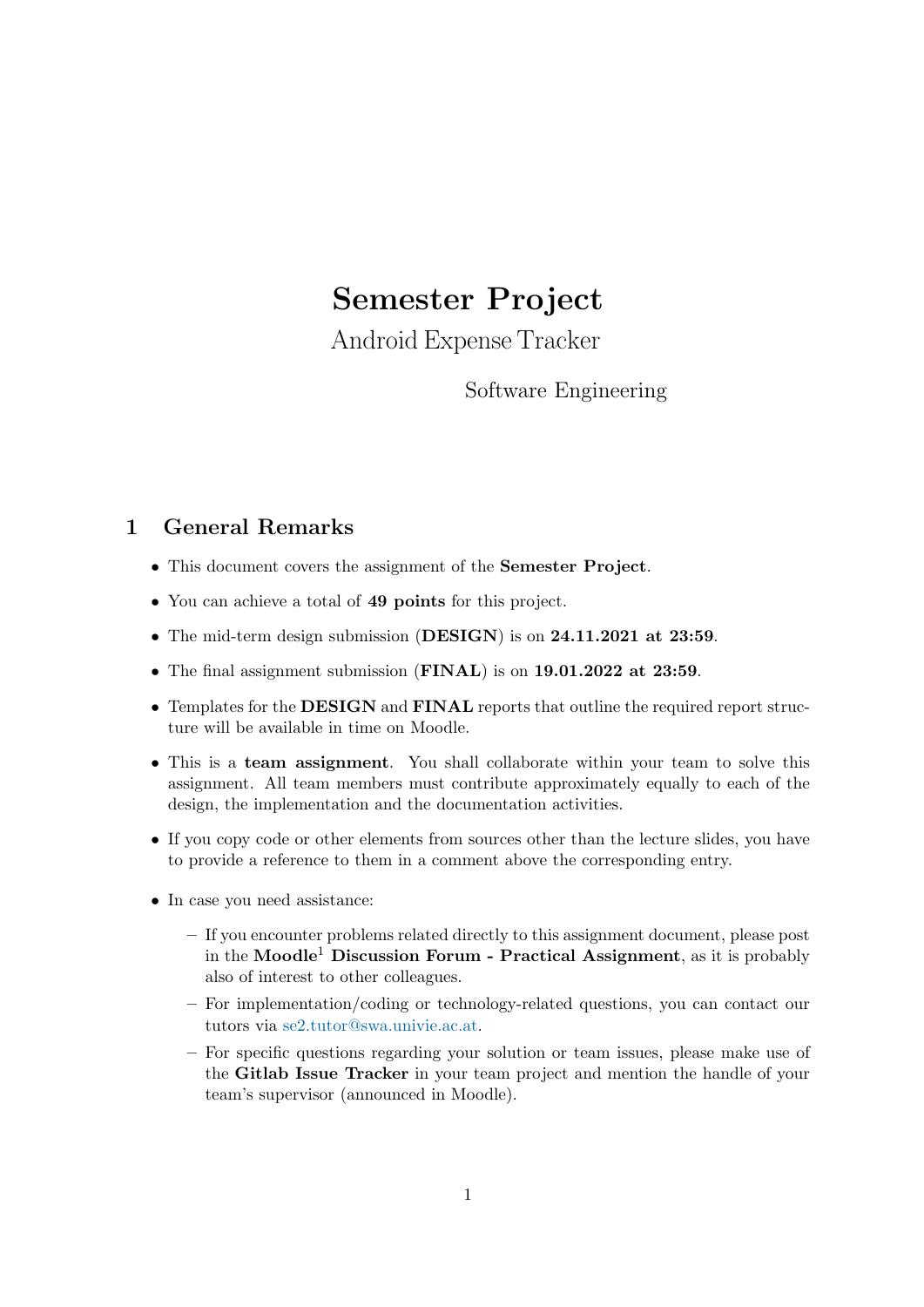# <span id="page-0-0"></span>Semester Project

Android Expense Tracker

# Software Engineering

# 1 General Remarks

- This document covers the assignment of the Semester Project.
- You can achieve a total of 49 points for this project.
- The mid-term design submission (DESIGN) is on 24.11.2021 at 23:59.
- The final assignment submission (FINAL) is on 19.01.2022 at 23:59.
- Templates for the DESIGN and FINAL reports that outline the required report structure will be available in time on Moodle.
- This is a team assignment. You shall collaborate within your team to solve this assignment. All team members must contribute approximately equally to each of the design, the implementation and the documentation activities.
- If you copy code or other elements from sources other than the lecture slides, you have to provide a reference to them in a comment above the corresponding entry.
- In case you need assistance:
	- If you encounter problems related directly to this assignment document, please post in the Moodle<sup>1</sup> Discussion Forum - Practical Assignment, as it is probably also of interest to other colleagues.
	- For implementation/coding or technology-related questions, you can contact our tutors via [se2.tutor@swa.univie.ac.at.](mailto://se2.tutor@swa.univie.ac.at)
	- For specific questions regarding your solution or team issues, please make use of the Gitlab Issue Tracker in your team project and mention the handle of your team's supervisor (announced in Moodle).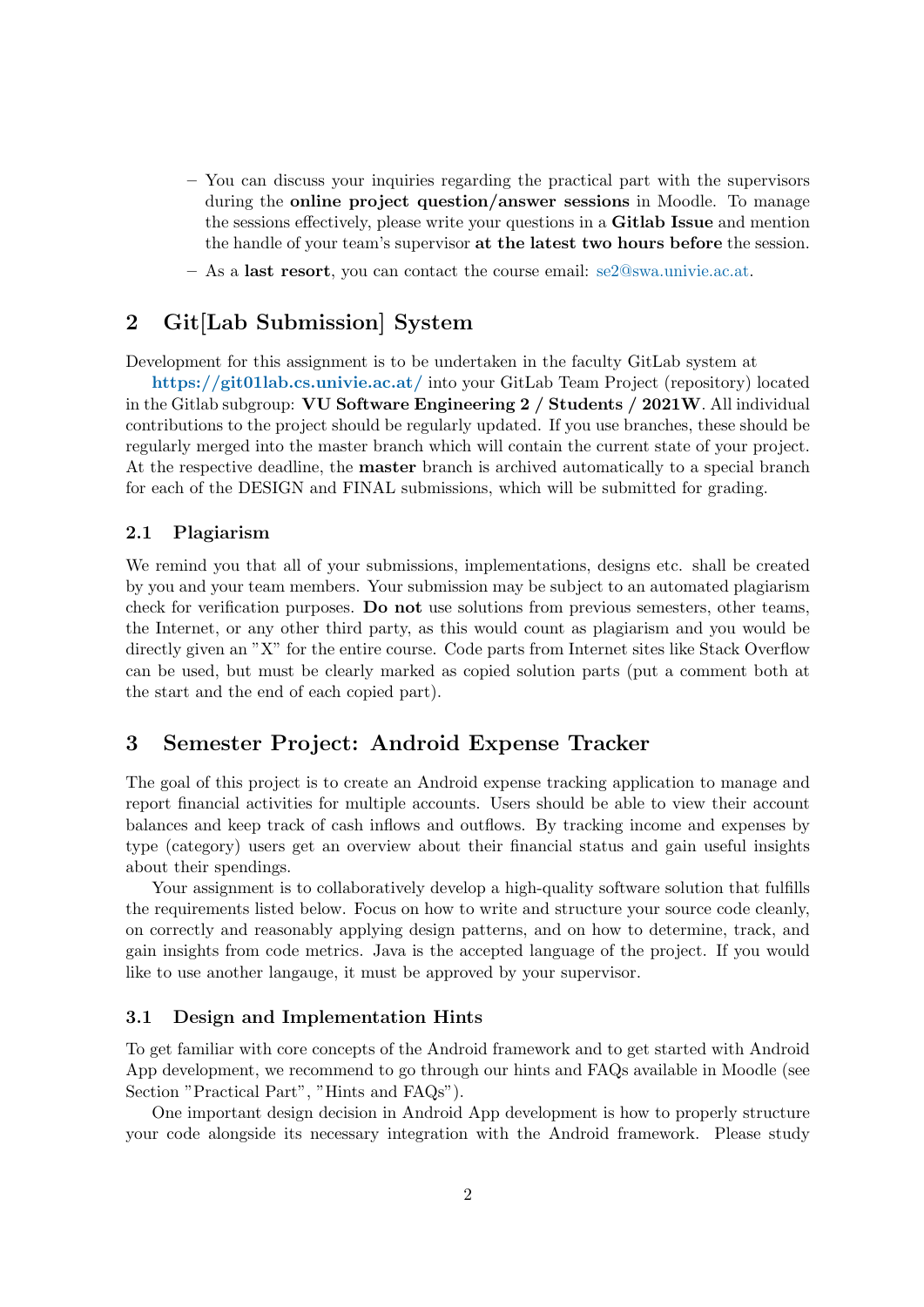- You can discuss your inquiries regarding the practical part with the supervisors during the online project question/answer sessions in Moodle. To manage the sessions effectively, please write your questions in a **Gitlab Issue** and mention the handle of your team's supervisor at the latest two hours before the session.
- $-$  As a last resort, you can contact the course email: [se2@swa.univie.ac.at.](mailto://se2@swa.univie.ac.at)

# 2 Git[Lab Submission] System

Development for this assignment is to be undertaken in the faculty GitLab system at

<https://git01lab.cs.univie.ac.at/> into your GitLab Team Project (repository) located in the Gitlab subgroup: VU Software Engineering 2 / Students / 2021W. All individual contributions to the project should be regularly updated. If you use branches, these should be regularly merged into the master branch which will contain the current state of your project. At the respective deadline, the master branch is archived automatically to a special branch for each of the DESIGN and FINAL submissions, which will be submitted for grading.

#### 2.1 Plagiarism

We remind you that all of your submissions, implementations, designs etc. shall be created by you and your team members. Your submission may be subject to an automated plagiarism check for verification purposes. Do not use solutions from previous semesters, other teams, the Internet, or any other third party, as this would count as plagiarism and you would be directly given an "X" for the entire course. Code parts from Internet sites like Stack Overflow can be used, but must be clearly marked as copied solution parts (put a comment both at the start and the end of each copied part).

### 3 Semester Project: Android Expense Tracker

The goal of this project is to create an Android expense tracking application to manage and report financial activities for multiple accounts. Users should be able to view their account balances and keep track of cash inflows and outflows. By tracking income and expenses by type (category) users get an overview about their financial status and gain useful insights about their spendings.

Your assignment is to collaboratively develop a high-quality software solution that fulfills the requirements listed below. Focus on how to write and structure your source code cleanly, on correctly and reasonably applying design patterns, and on how to determine, track, and gain insights from code metrics. Java is the accepted language of the project. If you would like to use another langauge, it must be approved by your supervisor.

#### 3.1 Design and Implementation Hints

To get familiar with core concepts of the Android framework and to get started with Android App development, we recommend to go through our hints and FAQs available in Moodle (see Section "Practical Part", "Hints and FAQs").

One important design decision in Android App development is how to properly structure your code alongside its necessary integration with the Android framework. Please study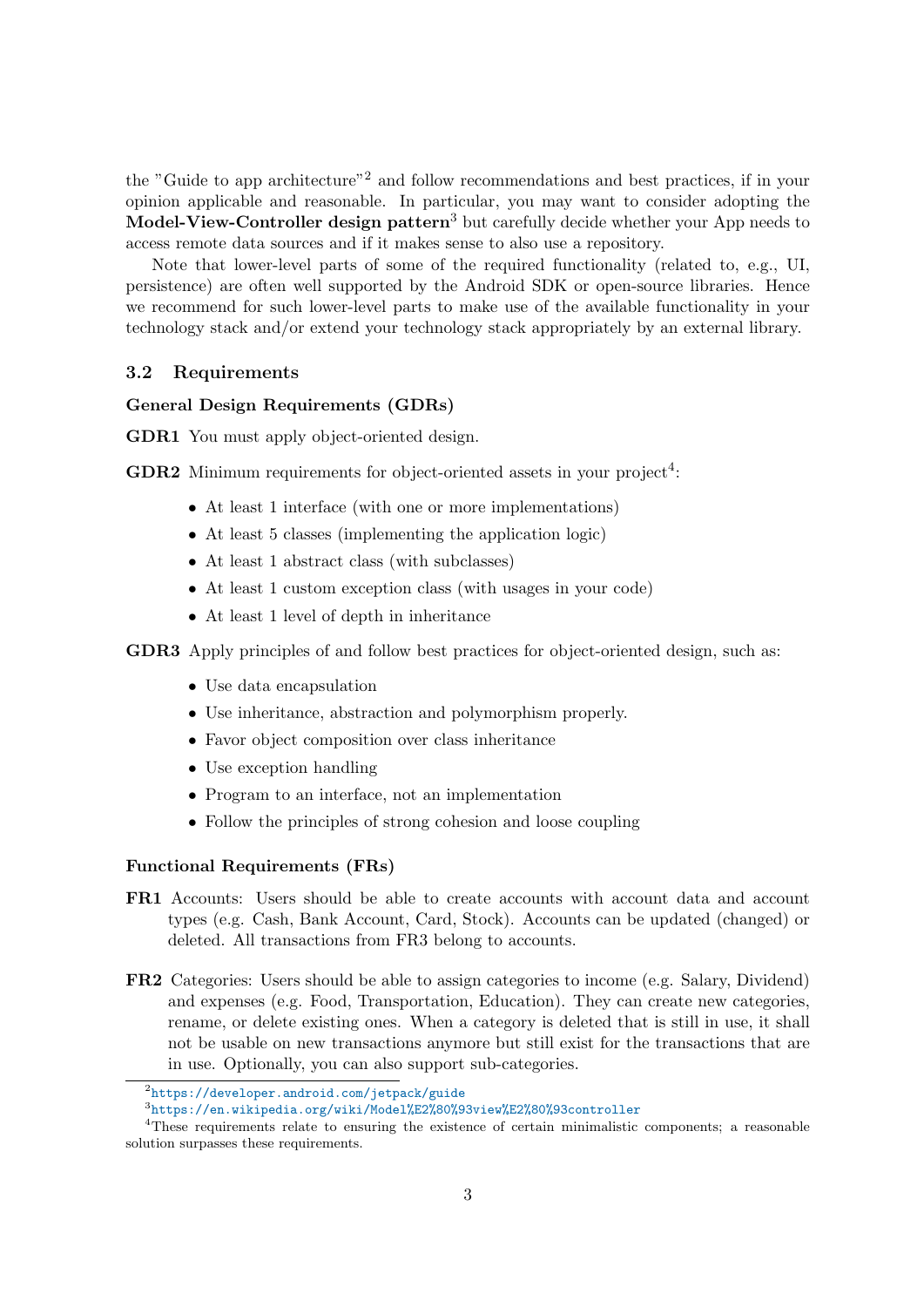the "Guide to app architecture"[2](#page-0-0) and follow recommendations and best practices, if in your opinion applicable and reasonable. In particular, you may want to consider adopting the **Model-View-Controller design pattern**<sup>[3](#page-0-0)</sup> but carefully decide whether your App needs to access remote data sources and if it makes sense to also use a repository.

Note that lower-level parts of some of the required functionality (related to, e.g., UI, persistence) are often well supported by the Android SDK or open-source libraries. Hence we recommend for such lower-level parts to make use of the available functionality in your technology stack and/or extend your technology stack appropriately by an external library.

#### 3.2 Requirements

#### General Design Requirements (GDRs)

GDR1 You must apply object-oriented design.

**GDR2** Minimum requirements for object-oriented assets in your project<sup>[4](#page-0-0)</sup>:

- At least 1 interface (with one or more implementations)
- At least 5 classes (implementing the application logic)
- At least 1 abstract class (with subclasses)
- At least 1 custom exception class (with usages in your code)
- At least 1 level of depth in inheritance

GDR3 Apply principles of and follow best practices for object-oriented design, such as:

- Use data encapsulation
- Use inheritance, abstraction and polymorphism properly.
- Favor object composition over class inheritance
- Use exception handling
- Program to an interface, not an implementation
- Follow the principles of strong cohesion and loose coupling

#### Functional Requirements (FRs)

- FR1 Accounts: Users should be able to create accounts with account data and account types (e.g. Cash, Bank Account, Card, Stock). Accounts can be updated (changed) or deleted. All transactions from FR3 belong to accounts.
- FR2 Categories: Users should be able to assign categories to income (e.g. Salary, Dividend) and expenses (e.g. Food, Transportation, Education). They can create new categories, rename, or delete existing ones. When a category is deleted that is still in use, it shall not be usable on new transactions anymore but still exist for the transactions that are in use. Optionally, you can also support sub-categories.

 $^{2}$ <https://developer.android.com/jetpack/guide>

 $^3$ <https://en.wikipedia.org/wiki/Model%E2%80%93view%E2%80%93controller>

<sup>4</sup>These requirements relate to ensuring the existence of certain minimalistic components; a reasonable solution surpasses these requirements.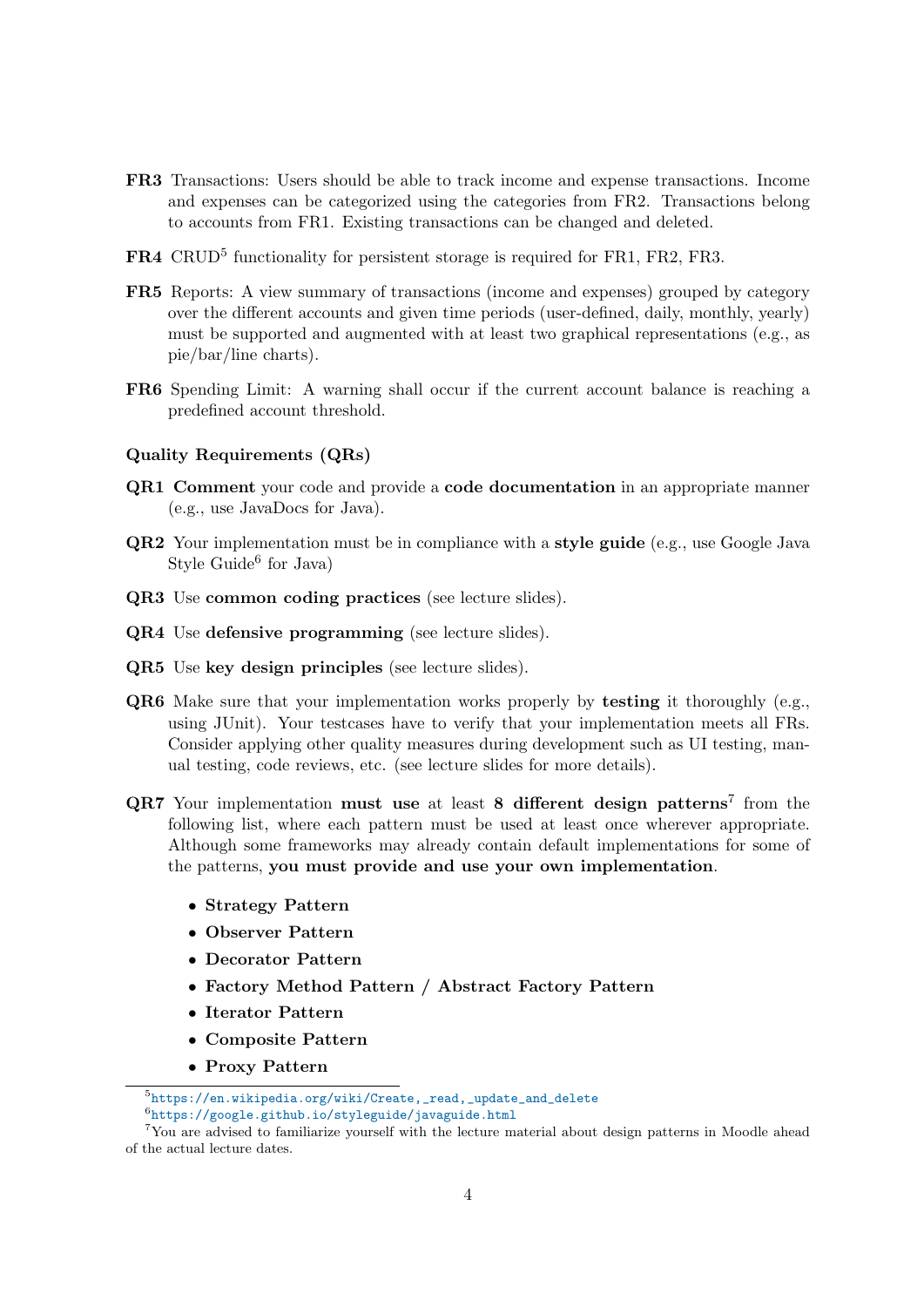- FR3 Transactions: Users should be able to track income and expense transactions. Income and expenses can be categorized using the categories from FR2. Transactions belong to accounts from FR1. Existing transactions can be changed and deleted.
- FR4 CRUD<sup>[5](#page-0-0)</sup> functionality for persistent storage is required for FR1, FR2, FR3.
- FR5 Reports: A view summary of transactions (income and expenses) grouped by category over the different accounts and given time periods (user-defined, daily, monthly, yearly) must be supported and augmented with at least two graphical representations (e.g., as pie/bar/line charts).
- FR6 Spending Limit: A warning shall occur if the current account balance is reaching a predefined account threshold.

#### Quality Requirements (QRs)

- QR1 Comment your code and provide a code documentation in an appropriate manner (e.g., use JavaDocs for Java).
- **QR2** Your implementation must be in compliance with a style guide (e.g., use Google Java Style Guide<sup>[6](#page-0-0)</sup> for Java)
- QR3 Use common coding practices (see lecture slides).
- QR4 Use defensive programming (see lecture slides).
- QR5 Use key design principles (see lecture slides).
- QR6 Make sure that your implementation works properly by testing it thoroughly (e.g., using JUnit). Your testcases have to verify that your implementation meets all FRs. Consider applying other quality measures during development such as UI testing, manual testing, code reviews, etc. (see lecture slides for more details).
- $QR7$  $QR7$  Your implementation must use at least 8 different design patterns<sup>7</sup> from the following list, where each pattern must be used at least once wherever appropriate. Although some frameworks may already contain default implementations for some of the patterns, you must provide and use your own implementation.
	- Strategy Pattern
	- Observer Pattern
	- Decorator Pattern
	- Factory Method Pattern / Abstract Factory Pattern
	- Iterator Pattern
	- Composite Pattern
	- Proxy Pattern

 $5$ [https://en.wikipedia.org/wiki/Create,\\_read,\\_update\\_and\\_delete](https://en.wikipedia.org/wiki/Create,_read,_update_and_delete)

<sup>6</sup> <https://google.github.io/styleguide/javaguide.html>

<sup>7</sup>You are advised to familiarize yourself with the lecture material about design patterns in Moodle ahead of the actual lecture dates.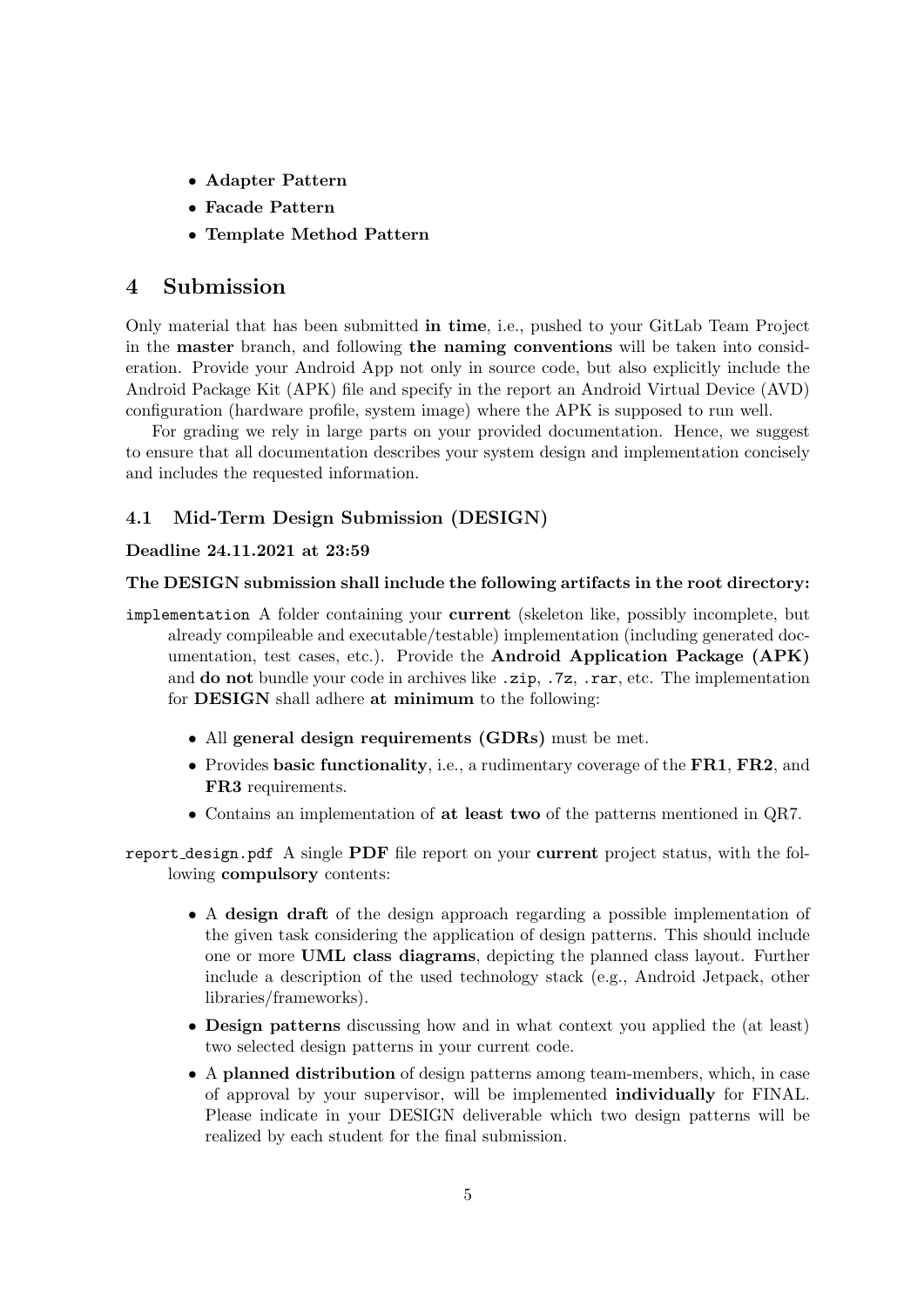- Adapter Pattern
- Facade Pattern
- Template Method Pattern

## 4 Submission

Only material that has been submitted in time, i.e., pushed to your GitLab Team Project in the master branch, and following the naming conventions will be taken into consideration. Provide your Android App not only in source code, but also explicitly include the Android Package Kit (APK) file and specify in the report an Android Virtual Device (AVD) configuration (hardware profile, system image) where the APK is supposed to run well.

For grading we rely in large parts on your provided documentation. Hence, we suggest to ensure that all documentation describes your system design and implementation concisely and includes the requested information.

### 4.1 Mid-Term Design Submission (DESIGN)

#### Deadline 24.11.2021 at 23:59

#### The DESIGN submission shall include the following artifacts in the root directory:

- implementation A folder containing your current (skeleton like, possibly incomplete, but already compileable and executable/testable) implementation (including generated documentation, test cases, etc.). Provide the Android Application Package (APK) and do not bundle your code in archives like .zip, .7z, .rar, etc. The implementation for DESIGN shall adhere at minimum to the following:
	- All general design requirements (GDRs) must be met.
	- Provides basic functionality, i.e., a rudimentary coverage of the FR1, FR2, and FR3 requirements.
	- Contains an implementation of at least two of the patterns mentioned in QR7.

report design.pdf A single  $PDF$  file report on your current project status, with the following compulsory contents:

- A design draft of the design approach regarding a possible implementation of the given task considering the application of design patterns. This should include one or more UML class diagrams, depicting the planned class layout. Further include a description of the used technology stack (e.g., Android Jetpack, other libraries/frameworks).
- Design patterns discussing how and in what context you applied the (at least) two selected design patterns in your current code.
- A planned distribution of design patterns among team-members, which, in case of approval by your supervisor, will be implemented individually for FINAL. Please indicate in your DESIGN deliverable which two design patterns will be realized by each student for the final submission.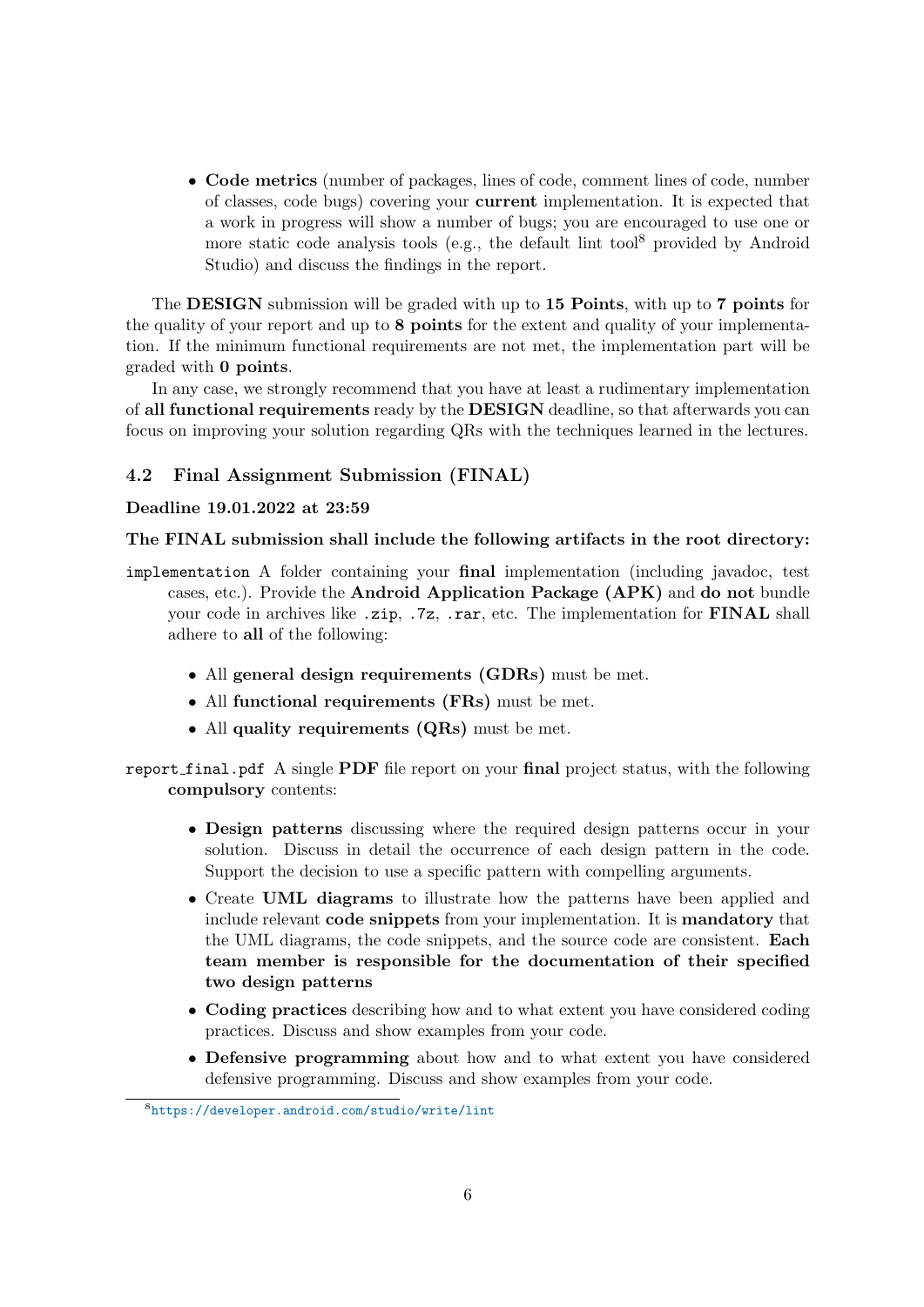• Code metrics (number of packages, lines of code, comment lines of code, number of classes, code bugs) covering your current implementation. It is expected that a work in progress will show a number of bugs; you are encouraged to use one or more static code analysis tools (e.g., the default lint tool<sup>[8](#page-0-0)</sup> provided by Android Studio) and discuss the findings in the report.

The **DESIGN** submission will be graded with up to 15 **Points**, with up to 7 **points** for the quality of your report and up to 8 points for the extent and quality of your implementation. If the minimum functional requirements are not met, the implementation part will be graded with 0 points.

In any case, we strongly recommend that you have at least a rudimentary implementation of all functional requirements ready by the DESIGN deadline, so that afterwards you can focus on improving your solution regarding QRs with the techniques learned in the lectures.

#### 4.2 Final Assignment Submission (FINAL)

#### Deadline 19.01.2022 at 23:59

#### The FINAL submission shall include the following artifacts in the root directory:

- implementation A folder containing your final implementation (including javadoc, test cases, etc.). Provide the Android Application Package (APK) and do not bundle your code in archives like .zip, .7z, .rar, etc. The implementation for FINAL shall adhere to all of the following:
	- All general design requirements (GDRs) must be met.
	- All functional requirements (FRs) must be met.
	- All quality requirements (QRs) must be met.
- report final.pdf A single PDF file report on your final project status, with the following compulsory contents:
	- Design patterns discussing where the required design patterns occur in your solution. Discuss in detail the occurrence of each design pattern in the code. Support the decision to use a specific pattern with compelling arguments.
	- Create UML diagrams to illustrate how the patterns have been applied and include relevant code snippets from your implementation. It is mandatory that the UML diagrams, the code snippets, and the source code are consistent. Each team member is responsible for the documentation of their specified two design patterns
	- Coding practices describing how and to what extent you have considered coding practices. Discuss and show examples from your code.
	- Defensive programming about how and to what extent you have considered defensive programming. Discuss and show examples from your code.

<sup>8</sup> <https://developer.android.com/studio/write/lint>